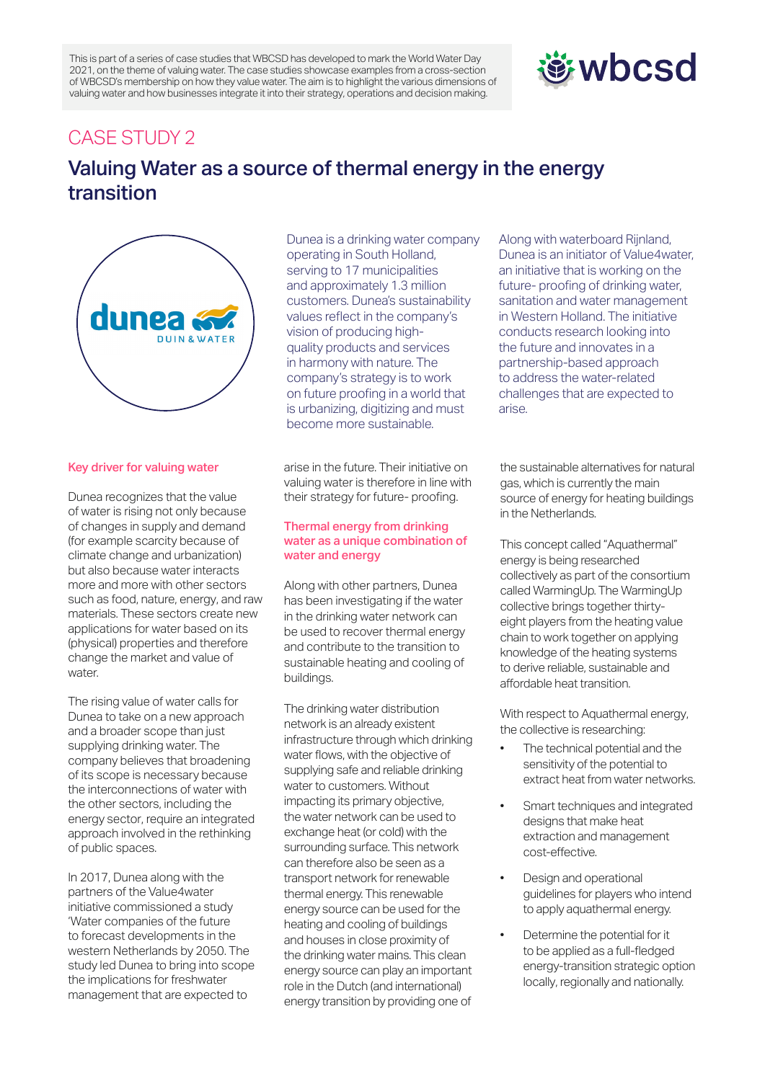This is part of a series of case studies that WBCSD has developed to mark the World Water Day 2021, on the theme of valuing water. The case studies showcase examples from a cross-section of WBCSD's membership on how they value water. The aim is to highlight the various dimensions of valuing water and how businesses integrate it into their strategy, operations and decision making.

# *wbcsd*

# CASE STUDY 2

# Valuing Water as a source of thermal energy in the energy transition



## Key driver for valuing water

Dunea recognizes that the value of water is rising not only because of changes in supply and demand (for example scarcity because of climate change and urbanization) but also because water interacts more and more with other sectors such as food, nature, energy, and raw materials. These sectors create new applications for water based on its (physical) properties and therefore change the market and value of water.

The rising value of water calls for Dunea to take on a new approach and a broader scope than just supplying drinking water. The company believes that broadening of its scope is necessary because the interconnections of water with the other sectors, including the energy sector, require an integrated approach involved in the rethinking of public spaces.

In 2017, Dunea along with the partners of the Value4water initiative commissioned a study 'Water companies of the future to forecast developments in the western Netherlands by 2050. The study led Dunea to bring into scope the implications for freshwater management that are expected to

Dunea is a drinking water company operating in South Holland, serving to 17 municipalities and approximately 1.3 million customers. Dunea's sustainability values reflect in the company's vision of producing highquality products and services in harmony with nature. The company's strategy is to work on future proofing in a world that is urbanizing, digitizing and must become more sustainable.

arise in the future. Their initiative on valuing water is therefore in line with their strategy for future- proofing.

#### Thermal energy from drinking water as a unique combination of water and energy

Along with other partners, Dunea has been investigating if the water in the drinking water network can be used to recover thermal energy and contribute to the transition to sustainable heating and cooling of buildings.

The drinking water distribution network is an already existent infrastructure through which drinking water flows, with the objective of supplying safe and reliable drinking water to customers. Without impacting its primary objective, the water network can be used to exchange heat (or cold) with the surrounding surface. This network can therefore also be seen as a transport network for renewable thermal energy. This renewable energy source can be used for the heating and cooling of buildings and houses in close proximity of the drinking water mains. This clean energy source can play an important role in the Dutch (and international) energy transition by providing one of

Along with waterboard Rijnland, Dunea is an initiator of Value4water, an initiative that is working on the future- proofing of drinking water, sanitation and water management in Western Holland. The initiative conducts research looking into the future and innovates in a partnership-based approach to address the water-related challenges that are expected to arise.

the sustainable alternatives for natural gas, which is currently the main source of energy for heating buildings in the Netherlands.

This concept called "Aquathermal" energy is being researched collectively as part of the consortium called WarmingUp. The WarmingUp collective brings together thirtyeight players from the heating value chain to work together on applying knowledge of the heating systems to derive reliable, sustainable and affordable heat transition.

With respect to Aquathermal energy, the collective is researching:

- The technical potential and the sensitivity of the potential to extract heat from water networks.
- Smart techniques and integrated designs that make heat extraction and management cost-effective.
- Design and operational guidelines for players who intend to apply aquathermal energy.
- Determine the potential for it to be applied as a full-fledged energy-transition strategic option locally, regionally and nationally.